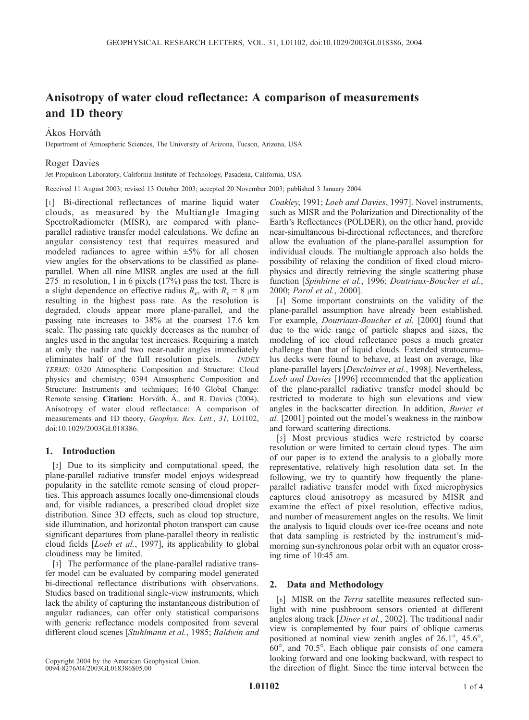# Anisotropy of water cloud reflectance: A comparison of measurements and 1D theory

# Ákos Horváth

Department of Atmospheric Sciences, The University of Arizona, Tucson, Arizona, USA

# Roger Davies

Jet Propulsion Laboratory, California Institute of Technology, Pasadena, California, USA

Received 11 August 2003; revised 13 October 2003; accepted 20 November 2003; published 3 January 2004.

[1] Bi-directional reflectances of marine liquid water clouds, as measured by the Multiangle Imaging SpectroRadiometer (MISR), are compared with planeparallel radiative transfer model calculations. We define an angular consistency test that requires measured and modeled radiances to agree within  $\pm 5\%$  for all chosen view angles for the observations to be classified as planeparallel. When all nine MISR angles are used at the full 275 m resolution, 1 in 6 pixels (17%) pass the test. There is a slight dependence on effective radius  $R_e$ , with  $R_e = 8 \mu m$ resulting in the highest pass rate. As the resolution is degraded, clouds appear more plane-parallel, and the passing rate increases to 38% at the coarsest 17.6 km scale. The passing rate quickly decreases as the number of angles used in the angular test increases. Requiring a match at only the nadir and two near-nadir angles immediately eliminates half of the full resolution pixels. *INDEX* TERMS: 0320 Atmospheric Composition and Structure: Cloud physics and chemistry; 0394 Atmospheric Composition and Structure: Instruments and techniques; 1640 Global Change: Remote sensing. Citation: Horváth, Á., and R. Davies (2004), Anisotropy of water cloud reflectance: A comparison of measurements and 1D theory, Geophys. Res. Lett., 31, L01102, doi:10.1029/2003GL018386.

# 1. Introduction

[2] Due to its simplicity and computational speed, the plane-parallel radiative transfer model enjoys widespread popularity in the satellite remote sensing of cloud properties. This approach assumes locally one-dimensional clouds and, for visible radiances, a prescribed cloud droplet size distribution. Since 3D effects, such as cloud top structure, side illumination, and horizontal photon transport can cause significant departures from plane-parallel theory in realistic cloud fields [Loeb et al., 1997], its applicability to global cloudiness may be limited.

[3] The performance of the plane-parallel radiative transfer model can be evaluated by comparing model generated bi-directional reflectance distributions with observations. Studies based on traditional single-view instruments, which lack the ability of capturing the instantaneous distribution of angular radiances, can offer only statistical comparisons with generic reflectance models composited from several different cloud scenes [Stuhlmann et al., 1985; Baldwin and

Copyright 2004 by the American Geophysical Union. 0094-8276/04/2003GL018386\$05.00

Coakley, 1991; Loeb and Davies, 1997]. Novel instruments, such as MISR and the Polarization and Directionality of the Earth's Reflectances (POLDER), on the other hand, provide near-simultaneous bi-directional reflectances, and therefore allow the evaluation of the plane-parallel assumption for individual clouds. The multiangle approach also holds the possibility of relaxing the condition of fixed cloud microphysics and directly retrieving the single scattering phase function [Spinhirne et al., 1996; Doutriaux-Boucher et al., 2000; Parol et al., 2000].

[4] Some important constraints on the validity of the plane-parallel assumption have already been established. For example, Doutriaux-Boucher et al. [2000] found that due to the wide range of particle shapes and sizes, the modeling of ice cloud reflectance poses a much greater challenge than that of liquid clouds. Extended stratocumulus decks were found to behave, at least on average, like plane-parallel layers [Descloitres et al., 1998]. Nevertheless, Loeb and Davies [1996] recommended that the application of the plane-parallel radiative transfer model should be restricted to moderate to high sun elevations and view angles in the backscatter direction. In addition, Buriez et al. [2001] pointed out the model's weakness in the rainbow and forward scattering directions.

[5] Most previous studies were restricted by coarse resolution or were limited to certain cloud types. The aim of our paper is to extend the analysis to a globally more representative, relatively high resolution data set. In the following, we try to quantify how frequently the planeparallel radiative transfer model with fixed microphysics captures cloud anisotropy as measured by MISR and examine the effect of pixel resolution, effective radius, and number of measurement angles on the results. We limit the analysis to liquid clouds over ice-free oceans and note that data sampling is restricted by the instrument's midmorning sun-synchronous polar orbit with an equator crossing time of 10:45 am.

## 2. Data and Methodology

[6] MISR on the *Terra* satellite measures reflected sunlight with nine pushbroom sensors oriented at different angles along track [Diner et al., 2002]. The traditional nadir view is complemented by four pairs of oblique cameras positioned at nominal view zenith angles of  $26.1^{\circ}$ ,  $45.6^{\circ}$ , 60-, and 70.5-. Each oblique pair consists of one camera looking forward and one looking backward, with respect to the direction of flight. Since the time interval between the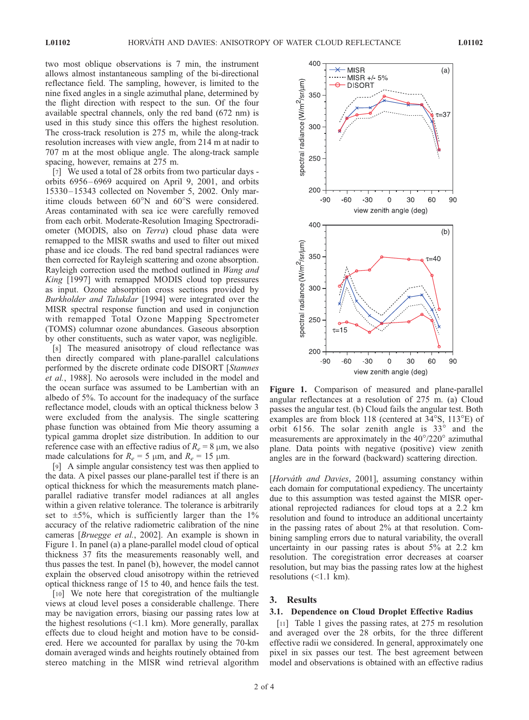two most oblique observations is 7 min, the instrument allows almost instantaneous sampling of the bi-directional reflectance field. The sampling, however, is limited to the nine fixed angles in a single azimuthal plane, determined by the flight direction with respect to the sun. Of the four available spectral channels, only the red band (672 nm) is used in this study since this offers the highest resolution. The cross-track resolution is 275 m, while the along-track resolution increases with view angle, from 214 m at nadir to 707 m at the most oblique angle. The along-track sample spacing, however, remains at 275 m.

[7] We used a total of 28 orbits from two particular days orbits 6956 – 6969 acquired on April 9, 2001, and orbits 15330 – 15343 collected on November 5, 2002. Only maritime clouds between  $60^{\circ}$ N and  $60^{\circ}$ S were considered. Areas contaminated with sea ice were carefully removed from each orbit. Moderate-Resolution Imaging Spectroradiometer (MODIS, also on Terra) cloud phase data were remapped to the MISR swaths and used to filter out mixed phase and ice clouds. The red band spectral radiances were then corrected for Rayleigh scattering and ozone absorption. Rayleigh correction used the method outlined in *Wang and* King [1997] with remapped MODIS cloud top pressures as input. Ozone absorption cross sections provided by Burkholder and Talukdar [1994] were integrated over the MISR spectral response function and used in conjunction with remapped Total Ozone Mapping Spectrometer (TOMS) columnar ozone abundances. Gaseous absorption by other constituents, such as water vapor, was negligible.

[8] The measured anisotropy of cloud reflectance was then directly compared with plane-parallel calculations performed by the discrete ordinate code DISORT [Stamnes et al., 1988]. No aerosols were included in the model and the ocean surface was assumed to be Lambertian with an albedo of 5%. To account for the inadequacy of the surface reflectance model, clouds with an optical thickness below 3 were excluded from the analysis. The single scattering phase function was obtained from Mie theory assuming a typical gamma droplet size distribution. In addition to our reference case with an effective radius of  $R_e = 8 \mu m$ , we also made calculations for  $R_e = 5 \mu m$ , and  $R_e = 15 \mu m$ .

[9] A simple angular consistency test was then applied to the data. A pixel passes our plane-parallel test if there is an optical thickness for which the measurements match planeparallel radiative transfer model radiances at all angles within a given relative tolerance. The tolerance is arbitrarily set to  $\pm 5\%$ , which is sufficiently larger than the 1% accuracy of the relative radiometric calibration of the nine cameras [Bruegge et al., 2002]. An example is shown in Figure 1. In panel (a) a plane-parallel model cloud of optical thickness 37 fits the measurements reasonably well, and thus passes the test. In panel (b), however, the model cannot explain the observed cloud anisotropy within the retrieved optical thickness range of 15 to 40, and hence fails the test.

[10] We note here that coregistration of the multiangle views at cloud level poses a considerable challenge. There may be navigation errors, biasing our passing rates low at the highest resolutions  $\ll 1.1$  km). More generally, parallax effects due to cloud height and motion have to be considered. Here we accounted for parallax by using the 70-km domain averaged winds and heights routinely obtained from stereo matching in the MISR wind retrieval algorithm



Figure 1. Comparison of measured and plane-parallel angular reflectances at a resolution of 275 m. (a) Cloud passes the angular test. (b) Cloud fails the angular test. Both examples are from block 118 (centered at 34°S, 113°E) of orbit 6156. The solar zenith angle is  $33^\circ$  and the measurements are approximately in the  $40^{\circ}/220^{\circ}$  azimuthal plane. Data points with negative (positive) view zenith angles are in the forward (backward) scattering direction.

[Horváth and Davies, 2001], assuming constancy within each domain for computational expediency. The uncertainty due to this assumption was tested against the MISR operational reprojected radiances for cloud tops at a 2.2 km resolution and found to introduce an additional uncertainty in the passing rates of about 2% at that resolution. Combining sampling errors due to natural variability, the overall uncertainty in our passing rates is about 5% at 2.2 km resolution. The coregistration error decreases at coarser resolution, but may bias the passing rates low at the highest resolutions (<1.1 km).

## 3. Results

#### 3.1. Dependence on Cloud Droplet Effective Radius

[11] Table 1 gives the passing rates, at 275 m resolution and averaged over the 28 orbits, for the three different effective radii we considered. In general, approximately one pixel in six passes our test. The best agreement between model and observations is obtained with an effective radius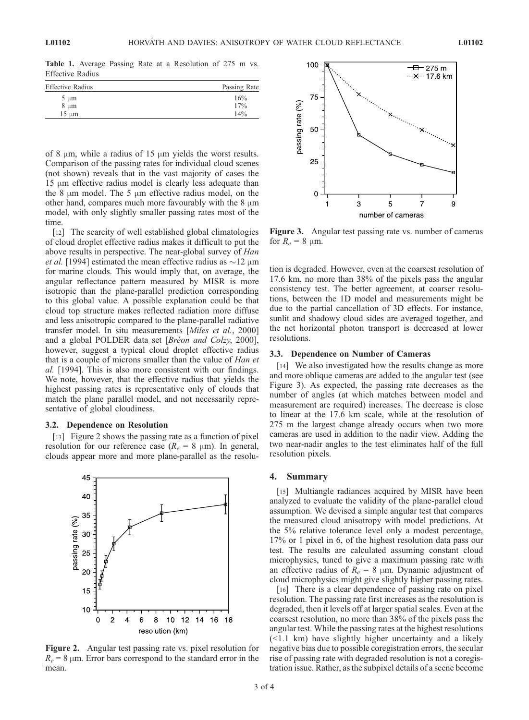Table 1. Average Passing Rate at a Resolution of 275 m vs. Effective Radius

| Passing Rate |
|--------------|
| 16%          |
| 17%          |
| 14%          |
|              |

of 8  $\mu$ m, while a radius of 15  $\mu$ m yields the worst results. Comparison of the passing rates for individual cloud scenes (not shown) reveals that in the vast majority of cases the  $15 \mu m$  effective radius model is clearly less adequate than the 8  $\mu$ m model. The 5  $\mu$ m effective radius model, on the other hand, compares much more favourably with the  $8 \mu m$ model, with only slightly smaller passing rates most of the time

[12] The scarcity of well established global climatologies of cloud droplet effective radius makes it difficult to put the above results in perspective. The near-global survey of Han *et al.* [1994] estimated the mean effective radius as  $\sim$ 12  $\mu$ m for marine clouds. This would imply that, on average, the angular reflectance pattern measured by MISR is more isotropic than the plane-parallel prediction corresponding to this global value. A possible explanation could be that cloud top structure makes reflected radiation more diffuse and less anisotropic compared to the plane-parallel radiative transfer model. In situ measurements [Miles et al., 2000] and a global POLDER data set [Bréon and Colzy, 2000], however, suggest a typical cloud droplet effective radius that is a couple of microns smaller than the value of Han et al. [1994]. This is also more consistent with our findings. We note, however, that the effective radius that yields the highest passing rates is representative only of clouds that match the plane parallel model, and not necessarily representative of global cloudiness.

#### 3.2. Dependence on Resolution

[13] Figure 2 shows the passing rate as a function of pixel resolution for our reference case ( $R_e = 8 \mu m$ ). In general, clouds appear more and more plane-parallel as the resolu-



Figure 2. Angular test passing rate vs. pixel resolution for  $R_e = 8 \mu m$ . Error bars correspond to the standard error in the mean.



Figure 3. Angular test passing rate vs. number of cameras for  $R_e = 8 \mu m$ .

tion is degraded. However, even at the coarsest resolution of 17.6 km, no more than 38% of the pixels pass the angular consistency test. The better agreement, at coarser resolutions, between the 1D model and measurements might be due to the partial cancellation of 3D effects. For instance, sunlit and shadowy cloud sides are averaged together, and the net horizontal photon transport is decreased at lower resolutions.

#### 3.3. Dependence on Number of Cameras

[14] We also investigated how the results change as more and more oblique cameras are added to the angular test (see Figure 3). As expected, the passing rate decreases as the number of angles (at which matches between model and measurement are required) increases. The decrease is close to linear at the 17.6 km scale, while at the resolution of 275 m the largest change already occurs when two more cameras are used in addition to the nadir view. Adding the two near-nadir angles to the test eliminates half of the full resolution pixels.

## 4. Summary

[15] Multiangle radiances acquired by MISR have been analyzed to evaluate the validity of the plane-parallel cloud assumption. We devised a simple angular test that compares the measured cloud anisotropy with model predictions. At the 5% relative tolerance level only a modest percentage, 17% or 1 pixel in 6, of the highest resolution data pass our test. The results are calculated assuming constant cloud microphysics, tuned to give a maximum passing rate with an effective radius of  $R_e = 8 \mu m$ . Dynamic adjustment of cloud microphysics might give slightly higher passing rates.

[16] There is a clear dependence of passing rate on pixel resolution. The passing rate first increases as the resolution is degraded, then it levels off at larger spatial scales. Even at the coarsest resolution, no more than 38% of the pixels pass the angular test. While the passing rates at the highest resolutions (<1.1 km) have slightly higher uncertainty and a likely negative bias due to possible coregistration errors, the secular rise of passing rate with degraded resolution is not a coregistration issue. Rather, as the subpixel details of a scene become